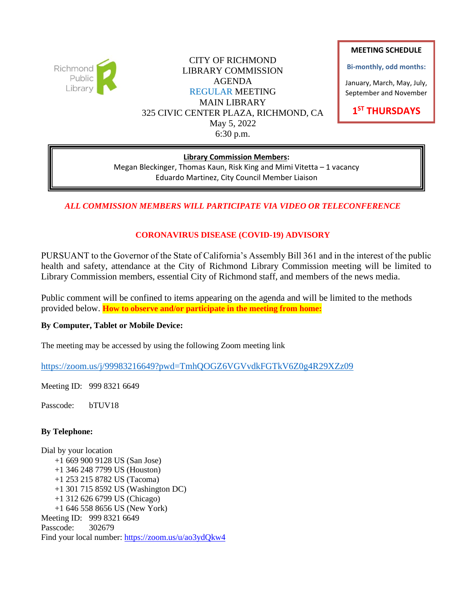

CITY OF RICHMOND LIBRARY COMMISSION AGENDA REGULAR MEETING MAIN LIBRARY 325 CIVIC CENTER PLAZA, RICHMOND, CA May 5, 2022 6:30 p.m.

#### **MEETING SCHEDULE**

**Bi-monthly, odd months:**

January, March, May, July, September and November

**1 ST THURSDAYS**

#### **Library Commission Members:**

Megan Bleckinger, Thomas Kaun, Risk King and Mimi Vitetta – 1 vacancy Eduardo Martinez, City Council Member Liaison

## *ALL COMMISSION MEMBERS WILL PARTICIPATE VIA VIDEO OR TELECONFERENCE*

# **CORONAVIRUS DISEASE (COVID-19) ADVISORY**

PURSUANT to the Governor of the State of California's Assembly Bill 361 and in the interest of the public health and safety, attendance at the City of Richmond Library Commission meeting will be limited to Library Commission members, essential City of Richmond staff, and members of the news media.

Public comment will be confined to items appearing on the agenda and will be limited to the methods provided below. **How to observe and/or participate in the meeting from home:**

#### **By Computer, Tablet or Mobile Device:**

The meeting may be accessed by using the following Zoom meeting link

<https://zoom.us/j/99983216649?pwd=TmhQOGZ6VGVvdkFGTkV6Z0g4R29XZz09>

Meeting ID: 999 8321 6649

Passcode: bTUV18

## **By Telephone:**

Dial by your location +1 669 900 9128 US (San Jose) +1 346 248 7799 US (Houston) +1 253 215 8782 US (Tacoma) +1 301 715 8592 US (Washington DC) +1 312 626 6799 US (Chicago) +1 646 558 8656 US (New York) Meeting ID: 999 8321 6649 Passcode: 302679 Find your local number:<https://zoom.us/u/ao3ydQkw4>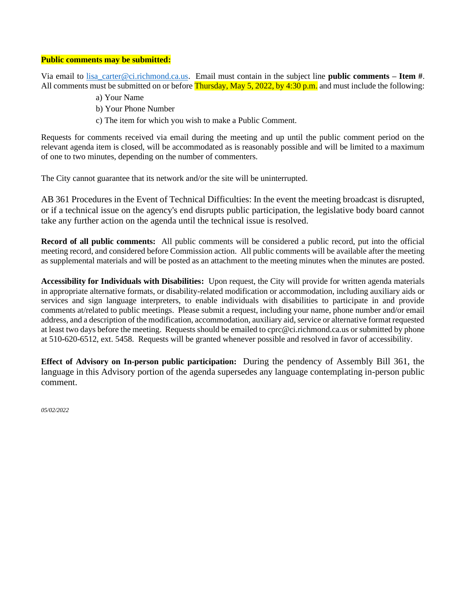#### **Public comments may be submitted:**

Via email to [lisa\\_carter@ci.richmond.ca.us.](mailto:lisa_carter@ci.richmond.ca.us) Email must contain in the subject line **public comments – Item #**. All comments must be submitted on or before **Thursday, May 5, 2022, by 4:30 p.m.** and must include the following:

- a) Your Name
- b) Your Phone Number
- c) The item for which you wish to make a Public Comment.

Requests for comments received via email during the meeting and up until the public comment period on the relevant agenda item is closed, will be accommodated as is reasonably possible and will be limited to a maximum of one to two minutes, depending on the number of commenters.

The City cannot guarantee that its network and/or the site will be uninterrupted.

AB 361 Procedures in the Event of Technical Difficulties: In the event the meeting broadcast is disrupted, or if a technical issue on the agency's end disrupts public participation, the legislative body board cannot take any further action on the agenda until the technical issue is resolved.

**Record of all public comments:** All public comments will be considered a public record, put into the official meeting record, and considered before Commission action. All public comments will be available after the meeting as supplemental materials and will be posted as an attachment to the meeting minutes when the minutes are posted.

**Accessibility for Individuals with Disabilities:** Upon request, the City will provide for written agenda materials in appropriate alternative formats, or disability-related modification or accommodation, including auxiliary aids or services and sign language interpreters, to enable individuals with disabilities to participate in and provide comments at/related to public meetings. Please submit a request, including your name, phone number and/or email address, and a description of the modification, accommodation, auxiliary aid, service or alternative format requested at least two days before the meeting. Requests should be emailed to cprc@ci.richmond.ca.us or submitted by phone at 510-620-6512, ext. 5458. Requests will be granted whenever possible and resolved in favor of accessibility.

**Effect of Advisory on In-person public participation:** During the pendency of Assembly Bill 361, the language in this Advisory portion of the agenda supersedes any language contemplating in-person public comment.

*05/02/2022*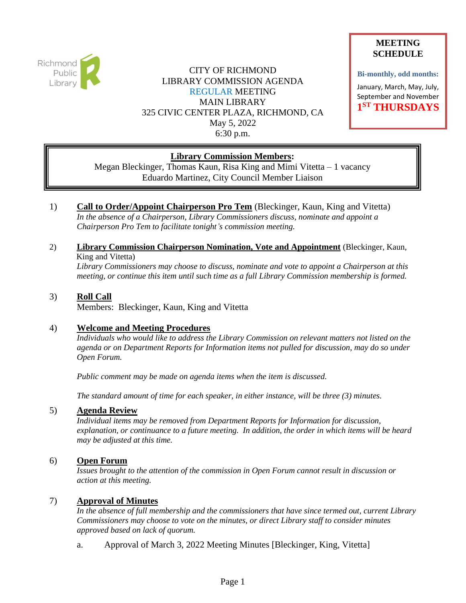

CITY OF RICHMOND LIBRARY COMMISSION AGENDA REGULAR MEETING MAIN LIBRARY 325 CIVIC CENTER PLAZA, RICHMOND, CA May 5, 2022 6:30 p.m.

## **MEETING SCHEDULE**

**Bi-monthly, odd months:**

January, March, May, July, September and November **1 ST THURSDAYS**

# **Library Commission Members:**

Megan Bleckinger, Thomas Kaun, Risa King and Mimi Vitetta – 1 vacancy Eduardo Martinez, City Council Member Liaison

1) **Call to Order/Appoint Chairperson Pro Tem** (Bleckinger, Kaun, King and Vitetta) *In the absence of a Chairperson, Library Commissioners discuss, nominate and appoint a Chairperson Pro Tem to facilitate tonight's commission meeting.*

# 2) **Library Commission Chairperson Nomination, Vote and Appointment** (Bleckinger, Kaun, King and Vitetta)

*Library Commissioners may choose to discuss, nominate and vote to appoint a Chairperson at this meeting, or continue this item until such time as a full Library Commission membership is formed.*

#### 3) **Roll Call** Members: Bleckinger, Kaun, King and Vitetta

## 4) **Welcome and Meeting Procedures**

*Individuals who would like to address the Library Commission on relevant matters not listed on the agenda or on Department Reports for Information items not pulled for discussion, may do so under Open Forum.*

*Public comment may be made on agenda items when the item is discussed.*

*The standard amount of time for each speaker, in either instance, will be three (3) minutes.*

## 5) **Agenda Review**

*Individual items may be removed from Department Reports for Information for discussion, explanation, or continuance to a future meeting. In addition, the order in which items will be heard may be adjusted at this time.*

# 6) **Open Forum**

*Issues brought to the attention of the commission in Open Forum cannot result in discussion or action at this meeting.*

## 7) **Approval of Minutes**

*In the absence of full membership and the commissioners that have since termed out, current Library Commissioners may choose to vote on the minutes, or direct Library staff to consider minutes approved based on lack of quorum.*

a. Approval of March 3, 2022 Meeting Minutes [Bleckinger, King, Vitetta]